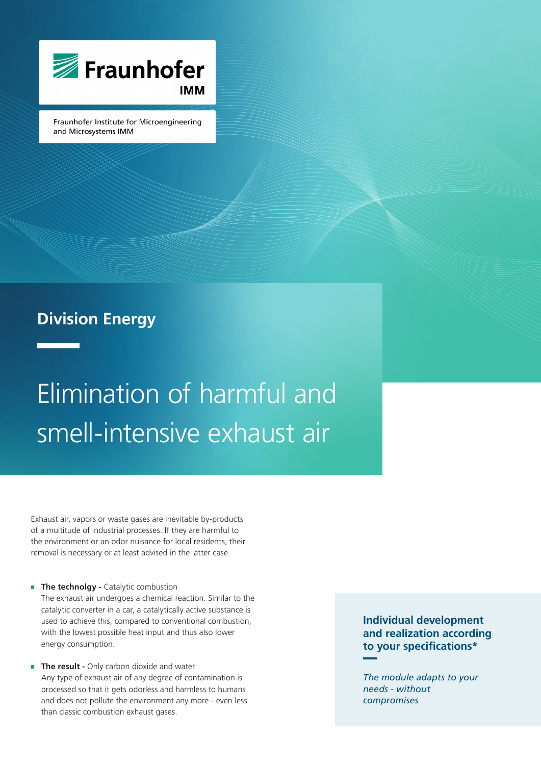

Fraunhofer Institute for Microengineering and Microsystems IMM

### **Division Energy**

# Elimination of harmful and smell-intensive exhaust air

Exhaust air, vapors or waste gases are inevitable by-products of a multitude of industrial processes. If they are harmful to the environment or an odor nuisance for local residents, their removal is necessary or at least advised in the latter case.

- **The technolgy Catalytic combustion** The exhaust air undergoes a chemical reaction. Similar to the catalytic converter in a car, a catalytically active substance is used to achieve this, compared to conventional combustion, with the lowest possible heat input and thus also lower energy consumption.
- **The result -** Only carbon dioxide and water Any type of exhaust air of any degree of contamination is processed so that it gets odorless and harmless to humans and does not pollute the environment any more - even less than classic combustion exhaust gases.

**Individual development and realization according to your specifications\***

*The module adapts to your needs - without compromises*